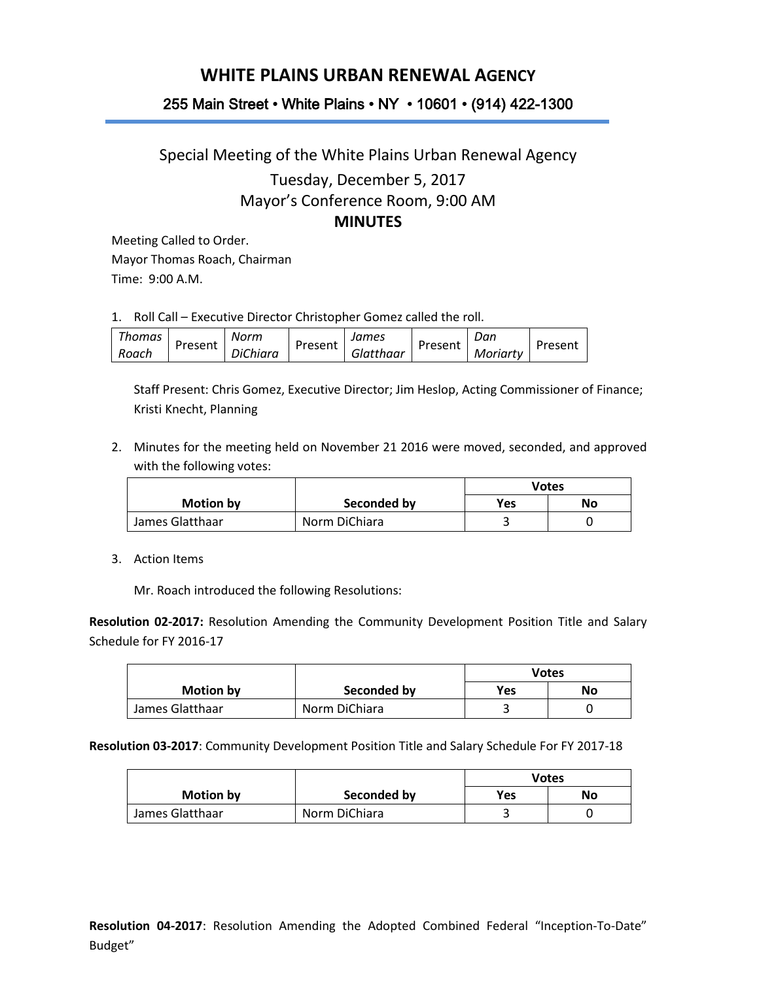## **WHITE PLAINS URBAN RENEWAL AGENCY**

## 255 Main Street • White Plains • NY • 10601 • (914) 422-1300

## Special Meeting of the White Plains Urban Renewal Agency Tuesday, December 5, 2017 Mayor's Conference Room, 9:00 AM **MINUTES**

Meeting Called to Order. Mayor Thomas Roach, Chairman Time: 9:00 A.M.

1. Roll Call – Executive Director Christopher Gomez called the roll.

| <b>Thomas</b> |         | Norm            |         | James |           | Dan     |          |         |
|---------------|---------|-----------------|---------|-------|-----------|---------|----------|---------|
| Roach         | Present | <b>DiChiara</b> | Present |       | Glatthaar | Present | Moriarty | Present |

Staff Present: Chris Gomez, Executive Director; Jim Heslop, Acting Commissioner of Finance; Kristi Knecht, Planning

2. Minutes for the meeting held on November 21 2016 were moved, seconded, and approved with the following votes:

|                  |               | Votes            |  |
|------------------|---------------|------------------|--|
| <b>Motion by</b> | Seconded by   | No<br><b>Yes</b> |  |
| James Glatthaar  | Norm DiChiara | ں                |  |

3. Action Items

Mr. Roach introduced the following Resolutions:

**Resolution 02-2017:** Resolution Amending the Community Development Position Title and Salary Schedule for FY 2016-17

|                 |               | <b>Votes</b> |    |
|-----------------|---------------|--------------|----|
| Motion by       | Seconded by   | Yes          | No |
| James Glatthaar | Norm DiChiara |              |    |

## **Resolution 03-2017**: Community Development Position Title and Salary Schedule For FY 2017-18

|                  |               | Votes |    |
|------------------|---------------|-------|----|
| <b>Motion by</b> | Seconded by   | Yes   | No |
| James Glatthaar  | Norm DiChiara |       |    |

**Resolution 04-2017**: Resolution Amending the Adopted Combined Federal "Inception-To-Date" Budget"